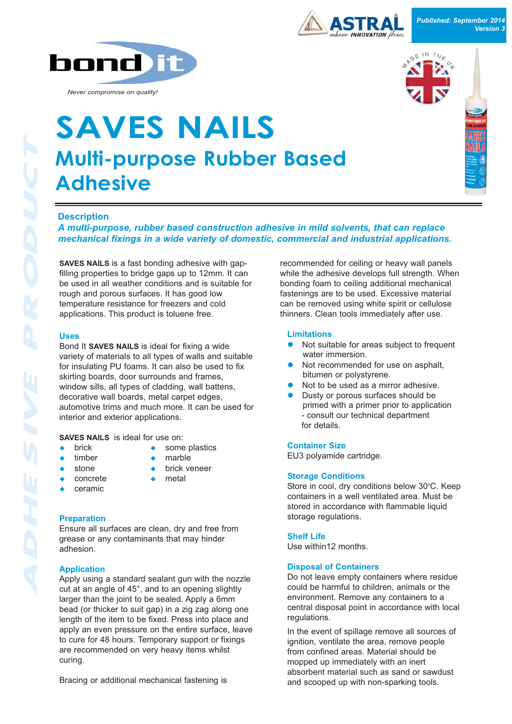



*Never compromise on quality!*

# **Multi-purpose Rubber Based Adhesive SAVES NAILS**



# **Description**

*A multi-purpose, rubber based construction adhesive in mild solvents, that can replace mechanical fixings in a wide variety of domestic, commercial and industrial applications.*

**SAVES NAILS** is a fast bonding adhesive with gapfilling properties to bridge gaps up to 12mm. It can be used in all weather conditions and is suitable for rough and porous surfaces. It has good low temperature resistance for freezers and cold applications. This product is toluene free.

#### **Uses**

Bond It **SAVES NAILS** is ideal for fixing a wide variety of materials to all types of walls and suitable for insulating PU foams. It can also be used to fix skirting boards, door surrounds and frames, window sills, all types of cladding, wall battens, decorative wall boards, metal carpet edges, automotive trims and much more. It can be used for interior and exterior applications.

**SAVES NAILS** is ideal for use on:

- 
- $\bullet$  brick  $\bullet$  some plastics
- $\bullet$  timber  $\bullet$  marble
	- stone brick veneer
	- $concrete$  metal
- ceramic
- 
- 

**Preparation**

Ensure all surfaces are clean, dry and free from grease or any contaminants that may hinder adhesion.

## **Application**

Apply using a standard sealant gun with the nozzle cut at an angle of 45°, and to an opening slightly larger than the joint to be sealed. Apply a 6mm bead (or thicker to suit gap) in a zig zag along one length of the item to be fixed. Press into place and apply an even pressure on the entire surface, leave to cure for 48 hours. Temporary support or fixings are recommended on very heavy items whilst curing.

Bracing or additional mechanical fastening is

recommended for ceiling or heavy wall panels while the adhesive develops full strength. When bonding foam to ceiling additional mechanical fastenings are to be used. Excessive material can be removed using white spirit or cellulose thinners. Clean tools immediately after use.

### **Limitations**

- Not suitable for areas subject to frequent water immersion.
- Not recommended for use on asphalt, bitumen or polystyrene.
- Not to be used as a mirror adhesive.
- Dusty or porous surfaces should be primed with a primer prior to application - consult our technical department for details.

#### **Container Size**

EU3 polyamide cartridge.

## **Storage Conditions**

Store in cool, dry conditions below 30°C. Keep containers in a well ventilated area. Must be stored in accordance with flammable liquid storage regulations.

## **Shelf Life**

Use within12 months.

#### **Disposal of Containers**

Do not leave empty containers where residue could be harmful to children, animals or the environment. Remove any containers to a central disposal point in accordance with local regulations.

In the event of spillage remove all sources of ignition, ventilate the area, remove people from confined areas. Material should be mopped up immediately with an inert absorbent material such as sand or sawdust and scooped up with non-sparking tools.